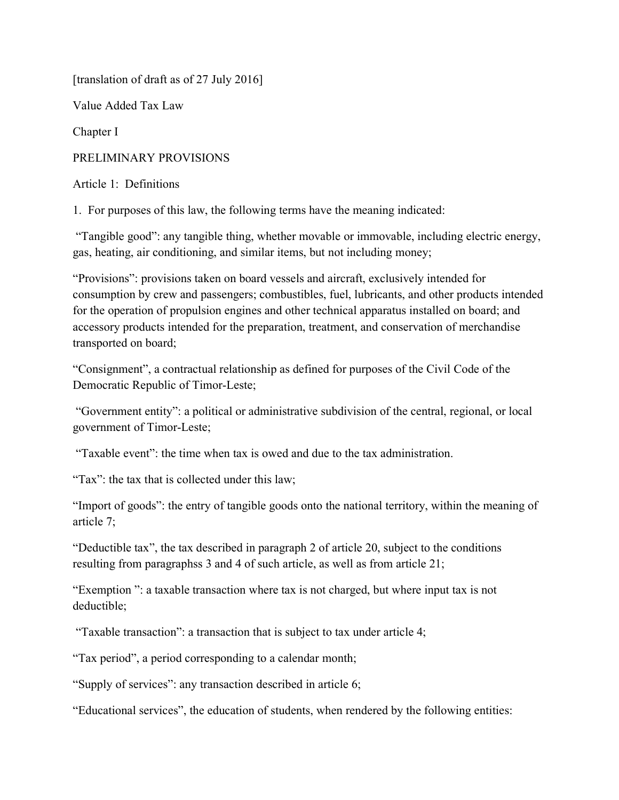[translation of draft as of 27 July 2016]

Value Added Tax Law

Chapter I

PRELIMINARY PROVISIONS

Article 1: Definitions

1. For purposes of this law, the following terms have the meaning indicated:

 "Tangible good": any tangible thing, whether movable or immovable, including electric energy, gas, heating, air conditioning, and similar items, but not including money;

"Provisions": provisions taken on board vessels and aircraft, exclusively intended for consumption by crew and passengers; combustibles, fuel, lubricants, and other products intended for the operation of propulsion engines and other technical apparatus installed on board; and accessory products intended for the preparation, treatment, and conservation of merchandise transported on board;

"Consignment", a contractual relationship as defined for purposes of the Civil Code of the Democratic Republic of Timor-Leste;

 "Government entity": a political or administrative subdivision of the central, regional, or local government of Timor-Leste;

"Taxable event": the time when tax is owed and due to the tax administration.

"Tax": the tax that is collected under this law;

"Import of goods": the entry of tangible goods onto the national territory, within the meaning of article 7;

"Deductible tax", the tax described in paragraph 2 of article 20, subject to the conditions resulting from paragraphss 3 and 4 of such article, as well as from article 21;

"Exemption ": a taxable transaction where tax is not charged, but where input tax is not deductible;

"Taxable transaction": a transaction that is subject to tax under article 4;

"Tax period", a period corresponding to a calendar month;

"Supply of services": any transaction described in article 6;

"Educational services", the education of students, when rendered by the following entities: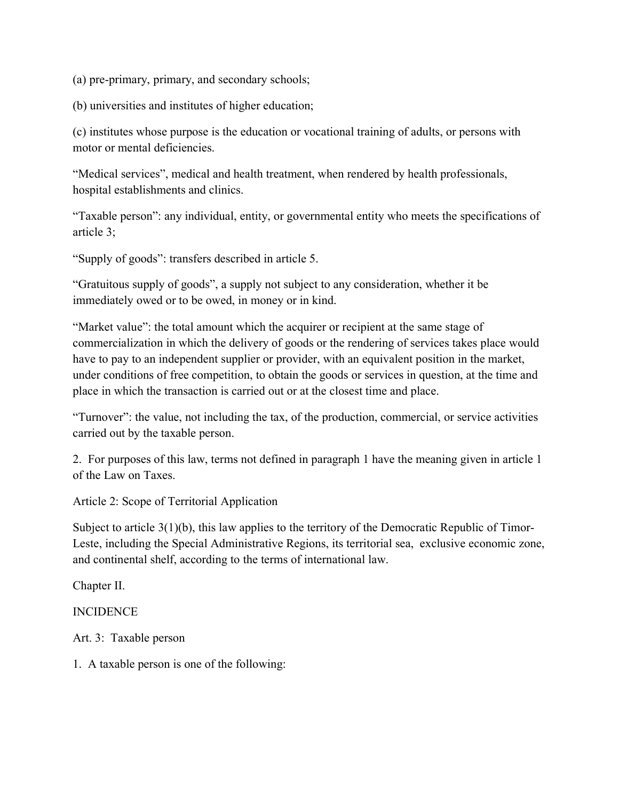(a) pre-primary, primary, and secondary schools;

(b) universities and institutes of higher education;

(c) institutes whose purpose is the education or vocational training of adults, or persons with motor or mental deficiencies.

"Medical services", medical and health treatment, when rendered by health professionals, hospital establishments and clinics.

"Taxable person": any individual, entity, or governmental entity who meets the specifications of article 3;

"Supply of goods": transfers described in article 5.

"Gratuitous supply of goods", a supply not subject to any consideration, whether it be immediately owed or to be owed, in money or in kind.

"Market value": the total amount which the acquirer or recipient at the same stage of commercialization in which the delivery of goods or the rendering of services takes place would have to pay to an independent supplier or provider, with an equivalent position in the market, under conditions of free competition, to obtain the goods or services in question, at the time and place in which the transaction is carried out or at the closest time and place.

"Turnover": the value, not including the tax, of the production, commercial, or service activities carried out by the taxable person.

2. For purposes of this law, terms not defined in paragraph 1 have the meaning given in article 1 of the Law on Taxes.

Article 2: Scope of Territorial Application

Subject to article 3(1)(b), this law applies to the territory of the Democratic Republic of Timor-Leste, including the Special Administrative Regions, its territorial sea, exclusive economic zone, and continental shelf, according to the terms of international law.

Chapter II.

## **INCIDENCE**

Art. 3: Taxable person

1. A taxable person is one of the following: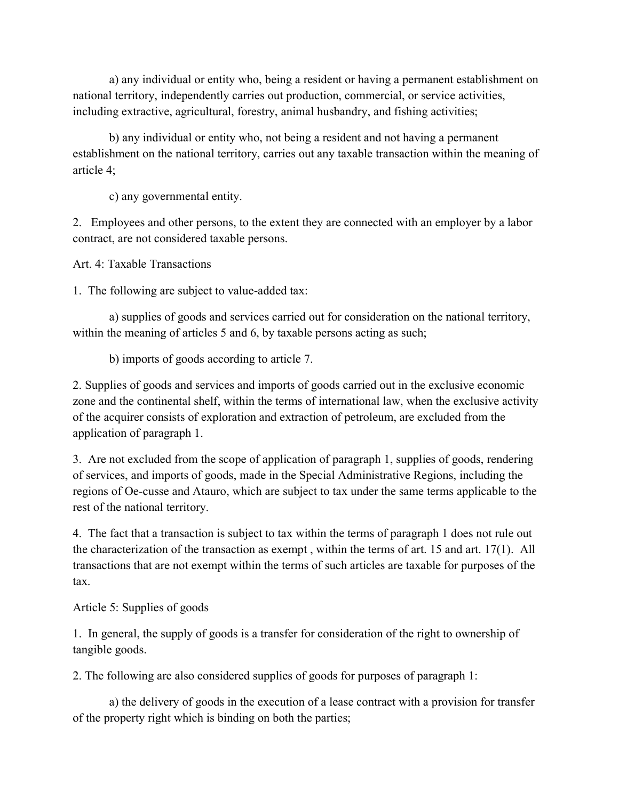a) any individual or entity who, being a resident or having a permanent establishment on national territory, independently carries out production, commercial, or service activities, including extractive, agricultural, forestry, animal husbandry, and fishing activities;

 b) any individual or entity who, not being a resident and not having a permanent establishment on the national territory, carries out any taxable transaction within the meaning of article 4;

c) any governmental entity.

2. Employees and other persons, to the extent they are connected with an employer by a labor contract, are not considered taxable persons.

Art. 4: Taxable Transactions

1. The following are subject to value-added tax:

 a) supplies of goods and services carried out for consideration on the national territory, within the meaning of articles 5 and 6, by taxable persons acting as such;

b) imports of goods according to article 7.

2. Supplies of goods and services and imports of goods carried out in the exclusive economic zone and the continental shelf, within the terms of international law, when the exclusive activity of the acquirer consists of exploration and extraction of petroleum, are excluded from the application of paragraph 1.

3. Are not excluded from the scope of application of paragraph 1, supplies of goods, rendering of services, and imports of goods, made in the Special Administrative Regions, including the regions of Oe-cusse and Atauro, which are subject to tax under the same terms applicable to the rest of the national territory.

4. The fact that a transaction is subject to tax within the terms of paragraph 1 does not rule out the characterization of the transaction as exempt , within the terms of art. 15 and art. 17(1). All transactions that are not exempt within the terms of such articles are taxable for purposes of the tax.

Article 5: Supplies of goods

1. In general, the supply of goods is a transfer for consideration of the right to ownership of tangible goods.

2. The following are also considered supplies of goods for purposes of paragraph 1:

 a) the delivery of goods in the execution of a lease contract with a provision for transfer of the property right which is binding on both the parties;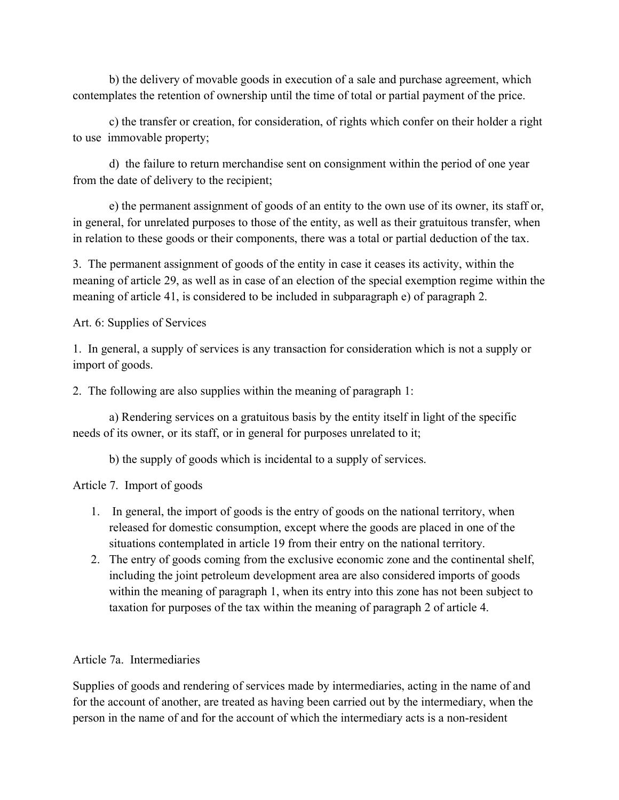b) the delivery of movable goods in execution of a sale and purchase agreement, which contemplates the retention of ownership until the time of total or partial payment of the price.

 c) the transfer or creation, for consideration, of rights which confer on their holder a right to use immovable property;

 d) the failure to return merchandise sent on consignment within the period of one year from the date of delivery to the recipient;

 e) the permanent assignment of goods of an entity to the own use of its owner, its staff or, in general, for unrelated purposes to those of the entity, as well as their gratuitous transfer, when in relation to these goods or their components, there was a total or partial deduction of the tax.

3. The permanent assignment of goods of the entity in case it ceases its activity, within the meaning of article 29, as well as in case of an election of the special exemption regime within the meaning of article 41, is considered to be included in subparagraph e) of paragraph 2.

Art. 6: Supplies of Services

1. In general, a supply of services is any transaction for consideration which is not a supply or import of goods.

2. The following are also supplies within the meaning of paragraph 1:

a) Rendering services on a gratuitous basis by the entity itself in light of the specific needs of its owner, or its staff, or in general for purposes unrelated to it;

b) the supply of goods which is incidental to a supply of services.

Article 7. Import of goods

- 1. In general, the import of goods is the entry of goods on the national territory, when released for domestic consumption, except where the goods are placed in one of the situations contemplated in article 19 from their entry on the national territory.
- 2. The entry of goods coming from the exclusive economic zone and the continental shelf, including the joint petroleum development area are also considered imports of goods within the meaning of paragraph 1, when its entry into this zone has not been subject to taxation for purposes of the tax within the meaning of paragraph 2 of article 4.

## Article 7a. Intermediaries

Supplies of goods and rendering of services made by intermediaries, acting in the name of and for the account of another, are treated as having been carried out by the intermediary, when the person in the name of and for the account of which the intermediary acts is a non-resident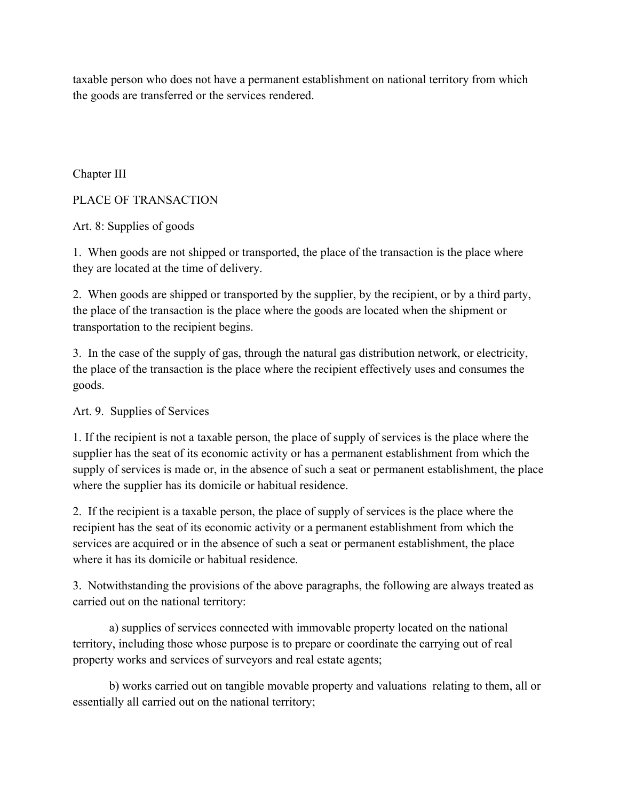taxable person who does not have a permanent establishment on national territory from which the goods are transferred or the services rendered.

Chapter III

PLACE OF TRANSACTION

Art. 8: Supplies of goods

1. When goods are not shipped or transported, the place of the transaction is the place where they are located at the time of delivery.

2. When goods are shipped or transported by the supplier, by the recipient, or by a third party, the place of the transaction is the place where the goods are located when the shipment or transportation to the recipient begins.

3. In the case of the supply of gas, through the natural gas distribution network, or electricity, the place of the transaction is the place where the recipient effectively uses and consumes the goods.

Art. 9. Supplies of Services

1. If the recipient is not a taxable person, the place of supply of services is the place where the supplier has the seat of its economic activity or has a permanent establishment from which the supply of services is made or, in the absence of such a seat or permanent establishment, the place where the supplier has its domicile or habitual residence.

2. If the recipient is a taxable person, the place of supply of services is the place where the recipient has the seat of its economic activity or a permanent establishment from which the services are acquired or in the absence of such a seat or permanent establishment, the place where it has its domicile or habitual residence.

3. Notwithstanding the provisions of the above paragraphs, the following are always treated as carried out on the national territory:

 a) supplies of services connected with immovable property located on the national territory, including those whose purpose is to prepare or coordinate the carrying out of real property works and services of surveyors and real estate agents;

 b) works carried out on tangible movable property and valuations relating to them, all or essentially all carried out on the national territory;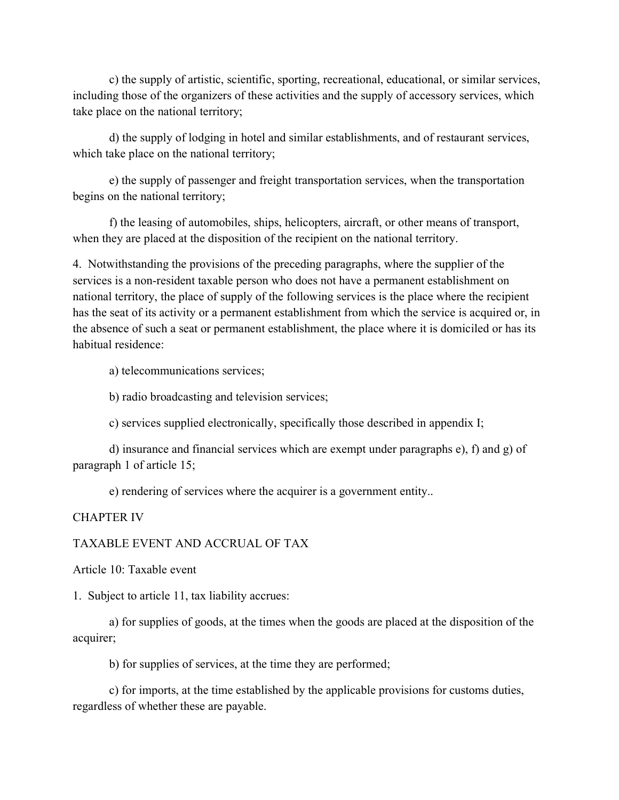c) the supply of artistic, scientific, sporting, recreational, educational, or similar services, including those of the organizers of these activities and the supply of accessory services, which take place on the national territory;

 d) the supply of lodging in hotel and similar establishments, and of restaurant services, which take place on the national territory;

 e) the supply of passenger and freight transportation services, when the transportation begins on the national territory;

 f) the leasing of automobiles, ships, helicopters, aircraft, or other means of transport, when they are placed at the disposition of the recipient on the national territory.

4. Notwithstanding the provisions of the preceding paragraphs, where the supplier of the services is a non-resident taxable person who does not have a permanent establishment on national territory, the place of supply of the following services is the place where the recipient has the seat of its activity or a permanent establishment from which the service is acquired or, in the absence of such a seat or permanent establishment, the place where it is domiciled or has its habitual residence:

a) telecommunications services;

b) radio broadcasting and television services;

c) services supplied electronically, specifically those described in appendix I;

d) insurance and financial services which are exempt under paragraphs e), f) and g) of paragraph 1 of article 15;

e) rendering of services where the acquirer is a government entity..

#### CHAPTER IV

#### TAXABLE EVENT AND ACCRUAL OF TAX

Article 10: Taxable event

1. Subject to article 11, tax liability accrues:

 a) for supplies of goods, at the times when the goods are placed at the disposition of the acquirer;

b) for supplies of services, at the time they are performed;

 c) for imports, at the time established by the applicable provisions for customs duties, regardless of whether these are payable.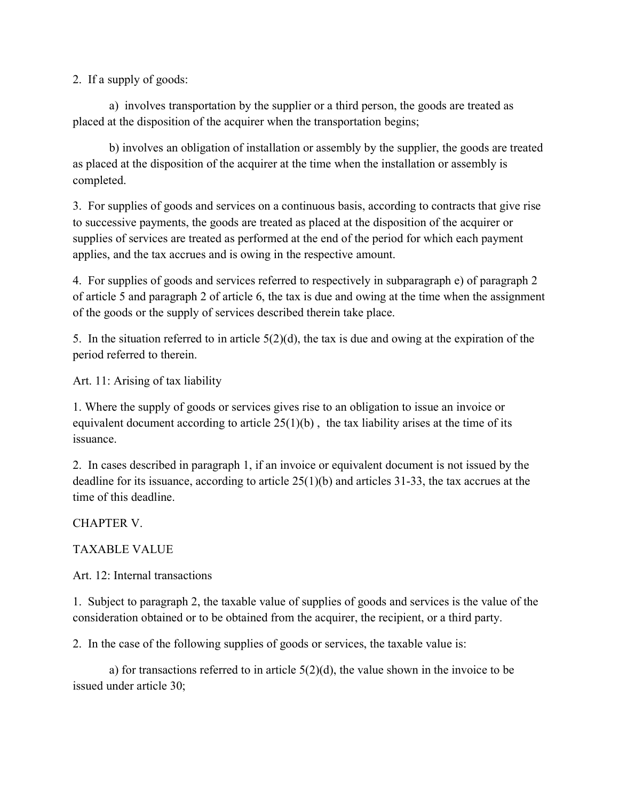2. If a supply of goods:

a) involves transportation by the supplier or a third person, the goods are treated as placed at the disposition of the acquirer when the transportation begins;

b) involves an obligation of installation or assembly by the supplier, the goods are treated as placed at the disposition of the acquirer at the time when the installation or assembly is completed.

3. For supplies of goods and services on a continuous basis, according to contracts that give rise to successive payments, the goods are treated as placed at the disposition of the acquirer or supplies of services are treated as performed at the end of the period for which each payment applies, and the tax accrues and is owing in the respective amount.

4. For supplies of goods and services referred to respectively in subparagraph e) of paragraph 2 of article 5 and paragraph 2 of article 6, the tax is due and owing at the time when the assignment of the goods or the supply of services described therein take place.

5. In the situation referred to in article 5(2)(d), the tax is due and owing at the expiration of the period referred to therein.

Art. 11: Arising of tax liability

1. Where the supply of goods or services gives rise to an obligation to issue an invoice or equivalent document according to article  $25(1)(b)$ , the tax liability arises at the time of its issuance.

2. In cases described in paragraph 1, if an invoice or equivalent document is not issued by the deadline for its issuance, according to article 25(1)(b) and articles 31-33, the tax accrues at the time of this deadline.

CHAPTER V.

TAXABLE VALUE

Art. 12: Internal transactions

1. Subject to paragraph 2, the taxable value of supplies of goods and services is the value of the consideration obtained or to be obtained from the acquirer, the recipient, or a third party.

2. In the case of the following supplies of goods or services, the taxable value is:

a) for transactions referred to in article  $5(2)(d)$ , the value shown in the invoice to be issued under article 30;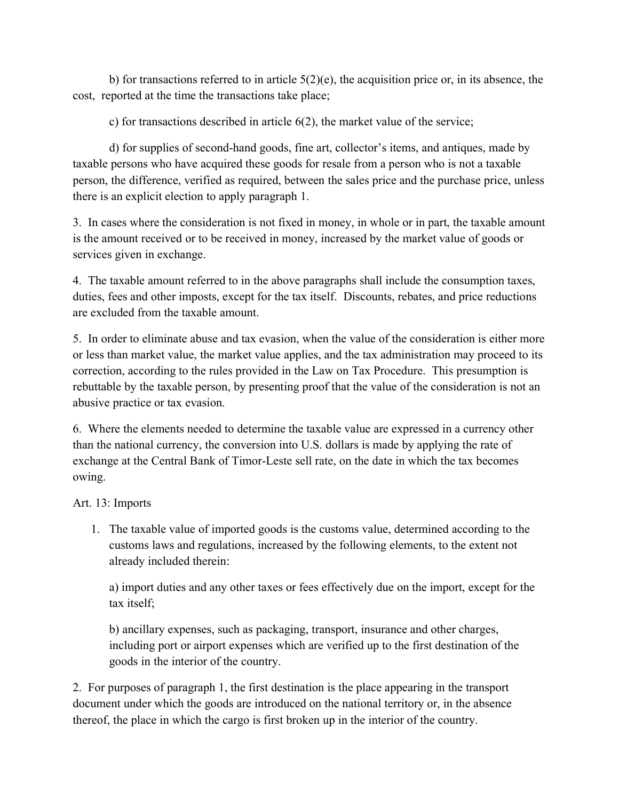b) for transactions referred to in article  $5(2)(e)$ , the acquisition price or, in its absence, the cost, reported at the time the transactions take place;

c) for transactions described in article 6(2), the market value of the service;

 d) for supplies of second-hand goods, fine art, collector's items, and antiques, made by taxable persons who have acquired these goods for resale from a person who is not a taxable person, the difference, verified as required, between the sales price and the purchase price, unless there is an explicit election to apply paragraph 1.

3. In cases where the consideration is not fixed in money, in whole or in part, the taxable amount is the amount received or to be received in money, increased by the market value of goods or services given in exchange.

4. The taxable amount referred to in the above paragraphs shall include the consumption taxes, duties, fees and other imposts, except for the tax itself. Discounts, rebates, and price reductions are excluded from the taxable amount.

5. In order to eliminate abuse and tax evasion, when the value of the consideration is either more or less than market value, the market value applies, and the tax administration may proceed to its correction, according to the rules provided in the Law on Tax Procedure. This presumption is rebuttable by the taxable person, by presenting proof that the value of the consideration is not an abusive practice or tax evasion.

6. Where the elements needed to determine the taxable value are expressed in a currency other than the national currency, the conversion into U.S. dollars is made by applying the rate of exchange at the Central Bank of Timor-Leste sell rate, on the date in which the tax becomes owing.

Art. 13: Imports

1. The taxable value of imported goods is the customs value, determined according to the customs laws and regulations, increased by the following elements, to the extent not already included therein:

a) import duties and any other taxes or fees effectively due on the import, except for the tax itself;

b) ancillary expenses, such as packaging, transport, insurance and other charges, including port or airport expenses which are verified up to the first destination of the goods in the interior of the country.

2. For purposes of paragraph 1, the first destination is the place appearing in the transport document under which the goods are introduced on the national territory or, in the absence thereof, the place in which the cargo is first broken up in the interior of the country.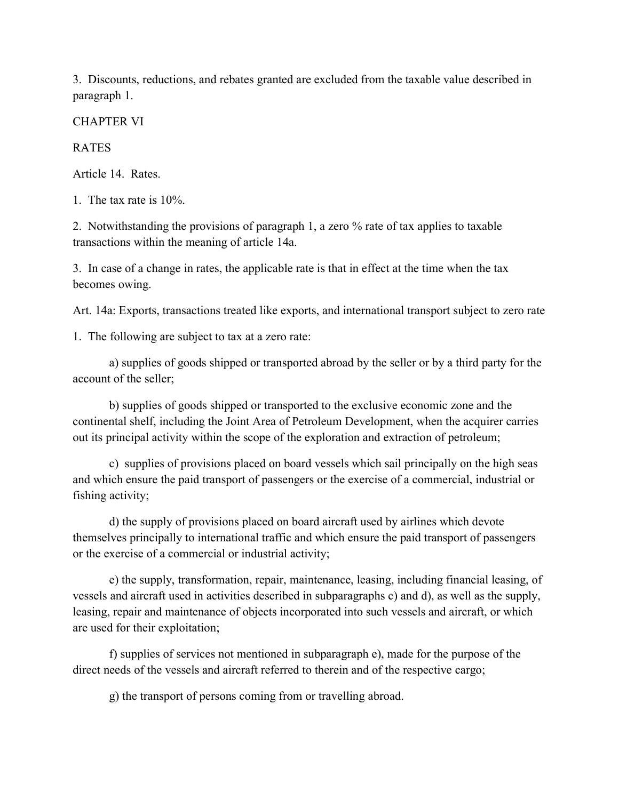3. Discounts, reductions, and rebates granted are excluded from the taxable value described in paragraph 1.

CHAPTER VI

**RATES** 

Article 14. Rates.

1. The tax rate is 10%.

2. Notwithstanding the provisions of paragraph 1, a zero % rate of tax applies to taxable transactions within the meaning of article 14a.

3. In case of a change in rates, the applicable rate is that in effect at the time when the tax becomes owing.

Art. 14a: Exports, transactions treated like exports, and international transport subject to zero rate

1. The following are subject to tax at a zero rate:

 a) supplies of goods shipped or transported abroad by the seller or by a third party for the account of the seller;

 b) supplies of goods shipped or transported to the exclusive economic zone and the continental shelf, including the Joint Area of Petroleum Development, when the acquirer carries out its principal activity within the scope of the exploration and extraction of petroleum;

 c) supplies of provisions placed on board vessels which sail principally on the high seas and which ensure the paid transport of passengers or the exercise of a commercial, industrial or fishing activity;

 d) the supply of provisions placed on board aircraft used by airlines which devote themselves principally to international traffic and which ensure the paid transport of passengers or the exercise of a commercial or industrial activity;

 e) the supply, transformation, repair, maintenance, leasing, including financial leasing, of vessels and aircraft used in activities described in subparagraphs c) and d), as well as the supply, leasing, repair and maintenance of objects incorporated into such vessels and aircraft, or which are used for their exploitation;

 f) supplies of services not mentioned in subparagraph e), made for the purpose of the direct needs of the vessels and aircraft referred to therein and of the respective cargo;

g) the transport of persons coming from or travelling abroad.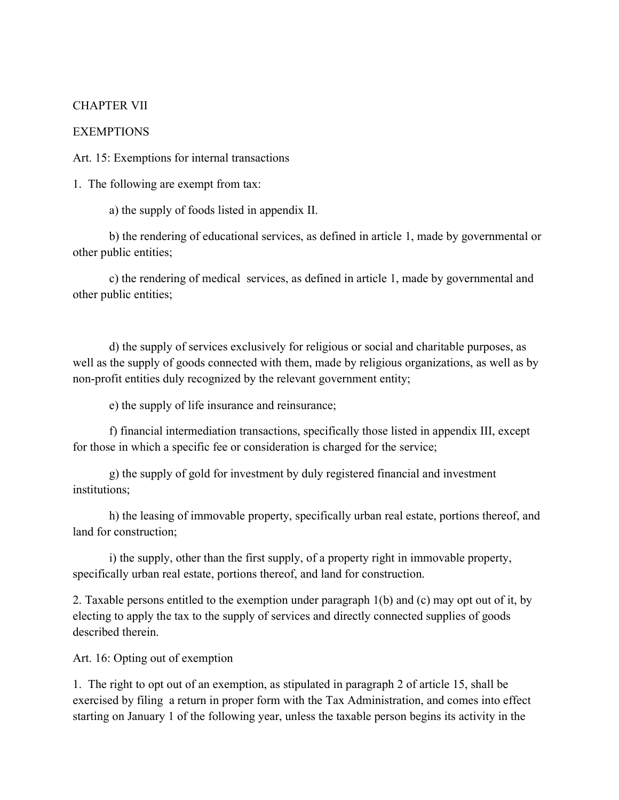#### CHAPTER VII

#### **EXEMPTIONS**

Art. 15: Exemptions for internal transactions

1. The following are exempt from tax:

a) the supply of foods listed in appendix II.

 b) the rendering of educational services, as defined in article 1, made by governmental or other public entities;

c) the rendering of medical services, as defined in article 1, made by governmental and other public entities;

 d) the supply of services exclusively for religious or social and charitable purposes, as well as the supply of goods connected with them, made by religious organizations, as well as by non-profit entities duly recognized by the relevant government entity;

e) the supply of life insurance and reinsurance;

 f) financial intermediation transactions, specifically those listed in appendix III, except for those in which a specific fee or consideration is charged for the service;

 g) the supply of gold for investment by duly registered financial and investment institutions;

 h) the leasing of immovable property, specifically urban real estate, portions thereof, and land for construction;

 i) the supply, other than the first supply, of a property right in immovable property, specifically urban real estate, portions thereof, and land for construction.

2. Taxable persons entitled to the exemption under paragraph 1(b) and (c) may opt out of it, by electing to apply the tax to the supply of services and directly connected supplies of goods described therein.

Art. 16: Opting out of exemption

1. The right to opt out of an exemption, as stipulated in paragraph 2 of article 15, shall be exercised by filing a return in proper form with the Tax Administration, and comes into effect starting on January 1 of the following year, unless the taxable person begins its activity in the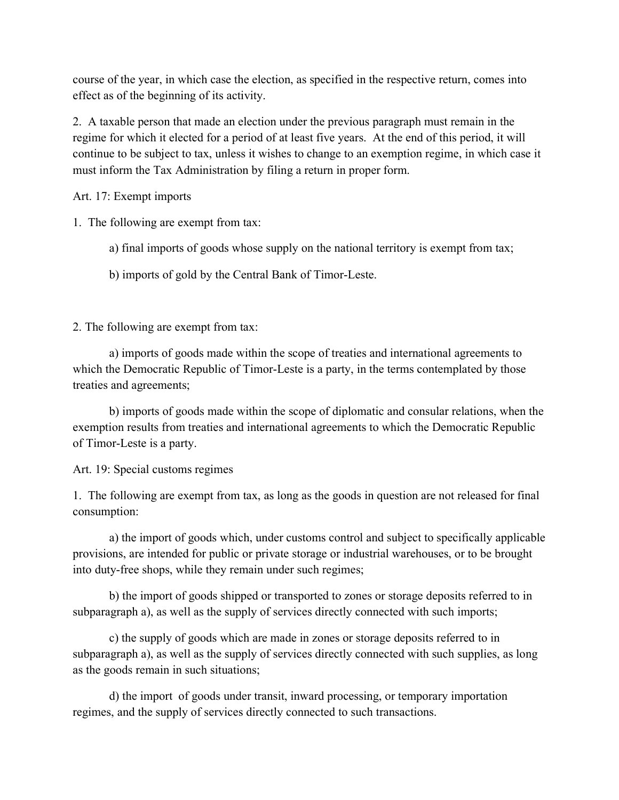course of the year, in which case the election, as specified in the respective return, comes into effect as of the beginning of its activity.

2. A taxable person that made an election under the previous paragraph must remain in the regime for which it elected for a period of at least five years. At the end of this period, it will continue to be subject to tax, unless it wishes to change to an exemption regime, in which case it must inform the Tax Administration by filing a return in proper form.

Art. 17: Exempt imports

1. The following are exempt from tax:

- a) final imports of goods whose supply on the national territory is exempt from tax;
- b) imports of gold by the Central Bank of Timor-Leste.

2. The following are exempt from tax:

 a) imports of goods made within the scope of treaties and international agreements to which the Democratic Republic of Timor-Leste is a party, in the terms contemplated by those treaties and agreements;

 b) imports of goods made within the scope of diplomatic and consular relations, when the exemption results from treaties and international agreements to which the Democratic Republic of Timor-Leste is a party.

Art. 19: Special customs regimes

1. The following are exempt from tax, as long as the goods in question are not released for final consumption:

 a) the import of goods which, under customs control and subject to specifically applicable provisions, are intended for public or private storage or industrial warehouses, or to be brought into duty-free shops, while they remain under such regimes;

 b) the import of goods shipped or transported to zones or storage deposits referred to in subparagraph a), as well as the supply of services directly connected with such imports;

 c) the supply of goods which are made in zones or storage deposits referred to in subparagraph a), as well as the supply of services directly connected with such supplies, as long as the goods remain in such situations;

 d) the import of goods under transit, inward processing, or temporary importation regimes, and the supply of services directly connected to such transactions.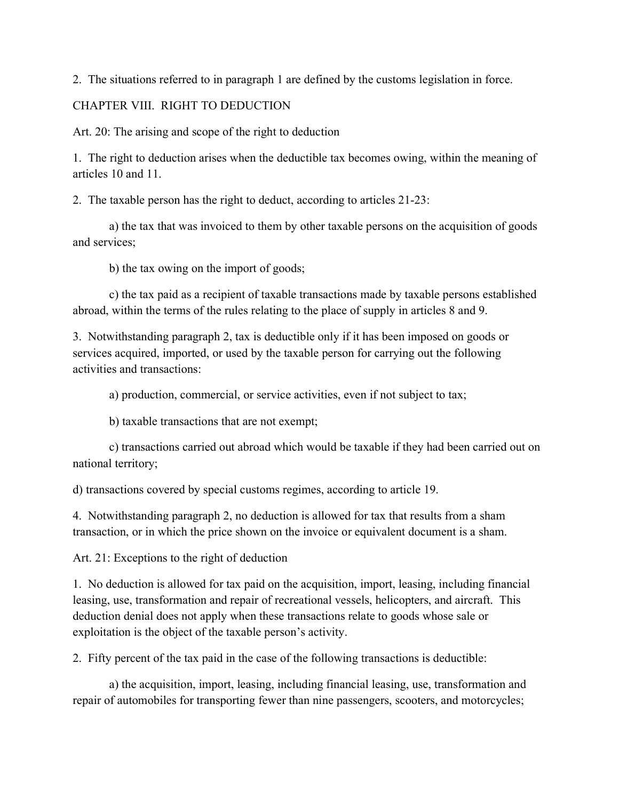2. The situations referred to in paragraph 1 are defined by the customs legislation in force.

## CHAPTER VIII. RIGHT TO DEDUCTION

Art. 20: The arising and scope of the right to deduction

1. The right to deduction arises when the deductible tax becomes owing, within the meaning of articles 10 and 11.

2. The taxable person has the right to deduct, according to articles 21-23:

 a) the tax that was invoiced to them by other taxable persons on the acquisition of goods and services;

b) the tax owing on the import of goods;

 c) the tax paid as a recipient of taxable transactions made by taxable persons established abroad, within the terms of the rules relating to the place of supply in articles 8 and 9.

3. Notwithstanding paragraph 2, tax is deductible only if it has been imposed on goods or services acquired, imported, or used by the taxable person for carrying out the following activities and transactions:

a) production, commercial, or service activities, even if not subject to tax;

b) taxable transactions that are not exempt;

 c) transactions carried out abroad which would be taxable if they had been carried out on national territory;

d) transactions covered by special customs regimes, according to article 19.

4. Notwithstanding paragraph 2, no deduction is allowed for tax that results from a sham transaction, or in which the price shown on the invoice or equivalent document is a sham.

Art. 21: Exceptions to the right of deduction

1. No deduction is allowed for tax paid on the acquisition, import, leasing, including financial leasing, use, transformation and repair of recreational vessels, helicopters, and aircraft. This deduction denial does not apply when these transactions relate to goods whose sale or exploitation is the object of the taxable person's activity.

2. Fifty percent of the tax paid in the case of the following transactions is deductible:

 a) the acquisition, import, leasing, including financial leasing, use, transformation and repair of automobiles for transporting fewer than nine passengers, scooters, and motorcycles;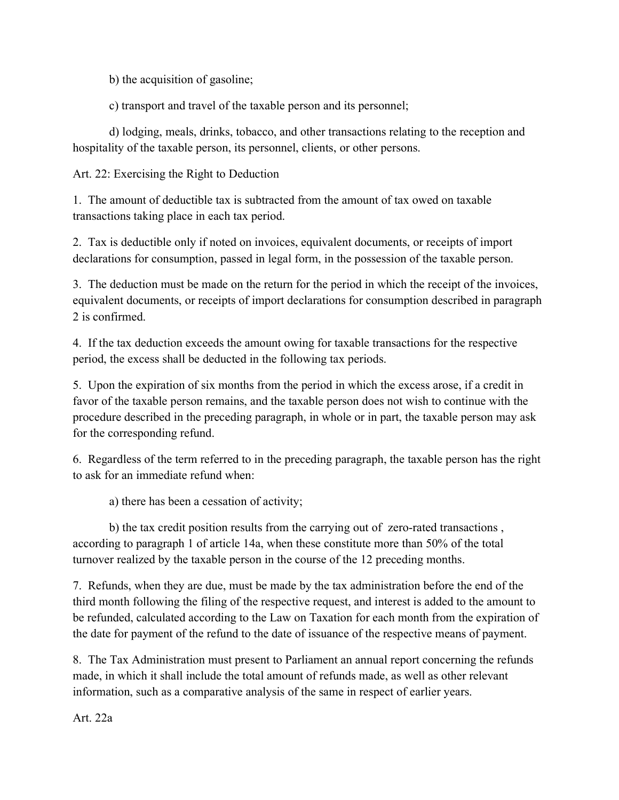b) the acquisition of gasoline;

c) transport and travel of the taxable person and its personnel;

 d) lodging, meals, drinks, tobacco, and other transactions relating to the reception and hospitality of the taxable person, its personnel, clients, or other persons.

# Art. 22: Exercising the Right to Deduction

1. The amount of deductible tax is subtracted from the amount of tax owed on taxable transactions taking place in each tax period.

2. Tax is deductible only if noted on invoices, equivalent documents, or receipts of import declarations for consumption, passed in legal form, in the possession of the taxable person.

3. The deduction must be made on the return for the period in which the receipt of the invoices, equivalent documents, or receipts of import declarations for consumption described in paragraph 2 is confirmed.

4. If the tax deduction exceeds the amount owing for taxable transactions for the respective period, the excess shall be deducted in the following tax periods.

5. Upon the expiration of six months from the period in which the excess arose, if a credit in favor of the taxable person remains, and the taxable person does not wish to continue with the procedure described in the preceding paragraph, in whole or in part, the taxable person may ask for the corresponding refund.

6. Regardless of the term referred to in the preceding paragraph, the taxable person has the right to ask for an immediate refund when:

a) there has been a cessation of activity;

 b) the tax credit position results from the carrying out of zero-rated transactions , according to paragraph 1 of article 14a, when these constitute more than 50% of the total turnover realized by the taxable person in the course of the 12 preceding months.

7. Refunds, when they are due, must be made by the tax administration before the end of the third month following the filing of the respective request, and interest is added to the amount to be refunded, calculated according to the Law on Taxation for each month from the expiration of the date for payment of the refund to the date of issuance of the respective means of payment.

8. The Tax Administration must present to Parliament an annual report concerning the refunds made, in which it shall include the total amount of refunds made, as well as other relevant information, such as a comparative analysis of the same in respect of earlier years.

Art. 22a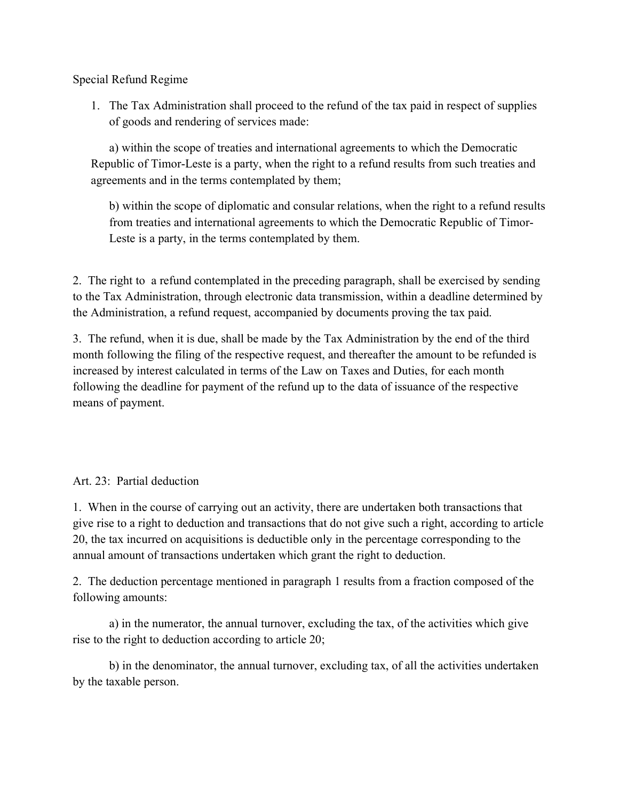Special Refund Regime

1. The Tax Administration shall proceed to the refund of the tax paid in respect of supplies of goods and rendering of services made:

a) within the scope of treaties and international agreements to which the Democratic Republic of Timor-Leste is a party, when the right to a refund results from such treaties and agreements and in the terms contemplated by them;

b) within the scope of diplomatic and consular relations, when the right to a refund results from treaties and international agreements to which the Democratic Republic of Timor-Leste is a party, in the terms contemplated by them.

2. The right to a refund contemplated in the preceding paragraph, shall be exercised by sending to the Tax Administration, through electronic data transmission, within a deadline determined by the Administration, a refund request, accompanied by documents proving the tax paid.

3. The refund, when it is due, shall be made by the Tax Administration by the end of the third month following the filing of the respective request, and thereafter the amount to be refunded is increased by interest calculated in terms of the Law on Taxes and Duties, for each month following the deadline for payment of the refund up to the data of issuance of the respective means of payment.

## Art. 23: Partial deduction

1. When in the course of carrying out an activity, there are undertaken both transactions that give rise to a right to deduction and transactions that do not give such a right, according to article 20, the tax incurred on acquisitions is deductible only in the percentage corresponding to the annual amount of transactions undertaken which grant the right to deduction.

2. The deduction percentage mentioned in paragraph 1 results from a fraction composed of the following amounts:

 a) in the numerator, the annual turnover, excluding the tax, of the activities which give rise to the right to deduction according to article 20;

 b) in the denominator, the annual turnover, excluding tax, of all the activities undertaken by the taxable person.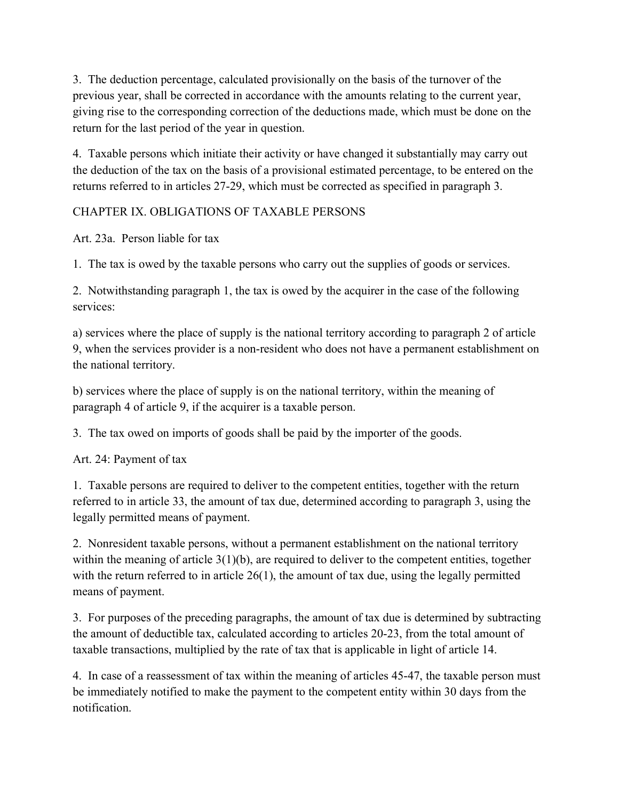3. The deduction percentage, calculated provisionally on the basis of the turnover of the previous year, shall be corrected in accordance with the amounts relating to the current year, giving rise to the corresponding correction of the deductions made, which must be done on the return for the last period of the year in question.

4. Taxable persons which initiate their activity or have changed it substantially may carry out the deduction of the tax on the basis of a provisional estimated percentage, to be entered on the returns referred to in articles 27-29, which must be corrected as specified in paragraph 3.

# CHAPTER IX. OBLIGATIONS OF TAXABLE PERSONS

Art. 23a. Person liable for tax

1. The tax is owed by the taxable persons who carry out the supplies of goods or services.

2. Notwithstanding paragraph 1, the tax is owed by the acquirer in the case of the following services:

a) services where the place of supply is the national territory according to paragraph 2 of article 9, when the services provider is a non-resident who does not have a permanent establishment on the national territory.

b) services where the place of supply is on the national territory, within the meaning of paragraph 4 of article 9, if the acquirer is a taxable person.

3. The tax owed on imports of goods shall be paid by the importer of the goods.

Art. 24: Payment of tax

1. Taxable persons are required to deliver to the competent entities, together with the return referred to in article 33, the amount of tax due, determined according to paragraph 3, using the legally permitted means of payment.

2. Nonresident taxable persons, without a permanent establishment on the national territory within the meaning of article 3(1)(b), are required to deliver to the competent entities, together with the return referred to in article 26(1), the amount of tax due, using the legally permitted means of payment.

3. For purposes of the preceding paragraphs, the amount of tax due is determined by subtracting the amount of deductible tax, calculated according to articles 20-23, from the total amount of taxable transactions, multiplied by the rate of tax that is applicable in light of article 14.

4. In case of a reassessment of tax within the meaning of articles 45-47, the taxable person must be immediately notified to make the payment to the competent entity within 30 days from the notification.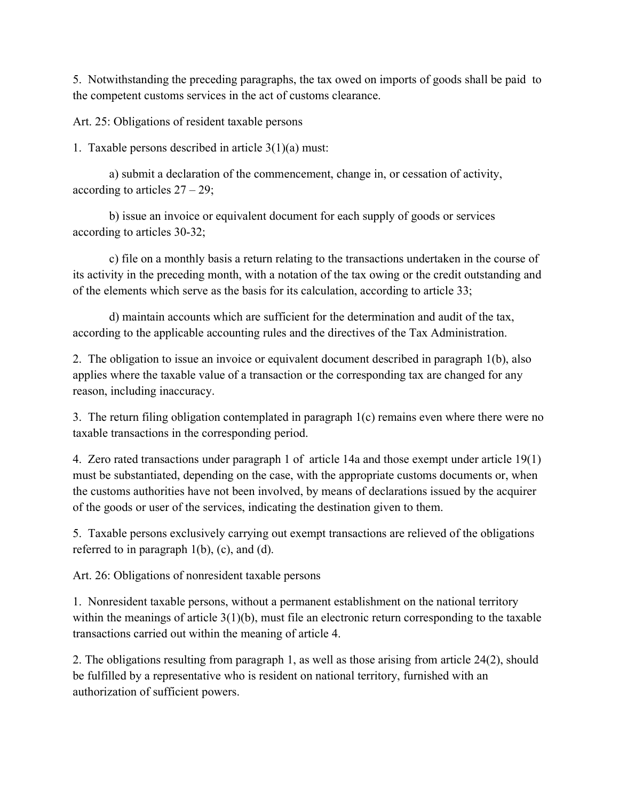5. Notwithstanding the preceding paragraphs, the tax owed on imports of goods shall be paid to the competent customs services in the act of customs clearance.

Art. 25: Obligations of resident taxable persons

1. Taxable persons described in article 3(1)(a) must:

 a) submit a declaration of the commencement, change in, or cessation of activity, according to articles  $27 - 29$ ;

 b) issue an invoice or equivalent document for each supply of goods or services according to articles 30-32;

 c) file on a monthly basis a return relating to the transactions undertaken in the course of its activity in the preceding month, with a notation of the tax owing or the credit outstanding and of the elements which serve as the basis for its calculation, according to article 33;

 d) maintain accounts which are sufficient for the determination and audit of the tax, according to the applicable accounting rules and the directives of the Tax Administration.

2. The obligation to issue an invoice or equivalent document described in paragraph 1(b), also applies where the taxable value of a transaction or the corresponding tax are changed for any reason, including inaccuracy.

3. The return filing obligation contemplated in paragraph 1(c) remains even where there were no taxable transactions in the corresponding period.

4. Zero rated transactions under paragraph 1 of article 14a and those exempt under article 19(1) must be substantiated, depending on the case, with the appropriate customs documents or, when the customs authorities have not been involved, by means of declarations issued by the acquirer of the goods or user of the services, indicating the destination given to them.

5. Taxable persons exclusively carrying out exempt transactions are relieved of the obligations referred to in paragraph 1(b), (c), and (d).

Art. 26: Obligations of nonresident taxable persons

1. Nonresident taxable persons, without a permanent establishment on the national territory within the meanings of article 3(1)(b), must file an electronic return corresponding to the taxable transactions carried out within the meaning of article 4.

2. The obligations resulting from paragraph 1, as well as those arising from article 24(2), should be fulfilled by a representative who is resident on national territory, furnished with an authorization of sufficient powers.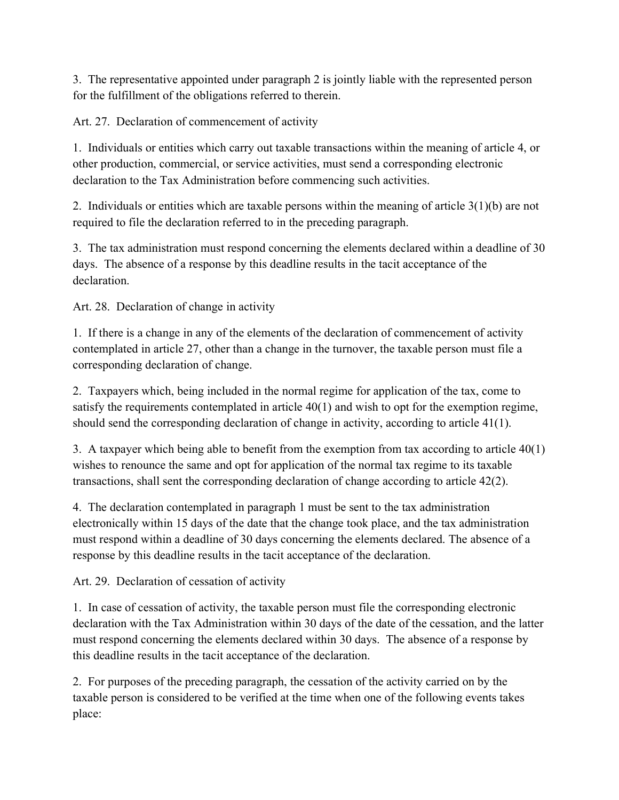3. The representative appointed under paragraph 2 is jointly liable with the represented person for the fulfillment of the obligations referred to therein.

Art. 27. Declaration of commencement of activity

1. Individuals or entities which carry out taxable transactions within the meaning of article 4, or other production, commercial, or service activities, must send a corresponding electronic declaration to the Tax Administration before commencing such activities.

2. Individuals or entities which are taxable persons within the meaning of article 3(1)(b) are not required to file the declaration referred to in the preceding paragraph.

3. The tax administration must respond concerning the elements declared within a deadline of 30 days. The absence of a response by this deadline results in the tacit acceptance of the declaration.

Art. 28. Declaration of change in activity

1. If there is a change in any of the elements of the declaration of commencement of activity contemplated in article 27, other than a change in the turnover, the taxable person must file a corresponding declaration of change.

2. Taxpayers which, being included in the normal regime for application of the tax, come to satisfy the requirements contemplated in article 40(1) and wish to opt for the exemption regime, should send the corresponding declaration of change in activity, according to article 41(1).

3. A taxpayer which being able to benefit from the exemption from tax according to article 40(1) wishes to renounce the same and opt for application of the normal tax regime to its taxable transactions, shall sent the corresponding declaration of change according to article 42(2).

4. The declaration contemplated in paragraph 1 must be sent to the tax administration electronically within 15 days of the date that the change took place, and the tax administration must respond within a deadline of 30 days concerning the elements declared. The absence of a response by this deadline results in the tacit acceptance of the declaration.

Art. 29. Declaration of cessation of activity

1. In case of cessation of activity, the taxable person must file the corresponding electronic declaration with the Tax Administration within 30 days of the date of the cessation, and the latter must respond concerning the elements declared within 30 days. The absence of a response by this deadline results in the tacit acceptance of the declaration.

2. For purposes of the preceding paragraph, the cessation of the activity carried on by the taxable person is considered to be verified at the time when one of the following events takes place: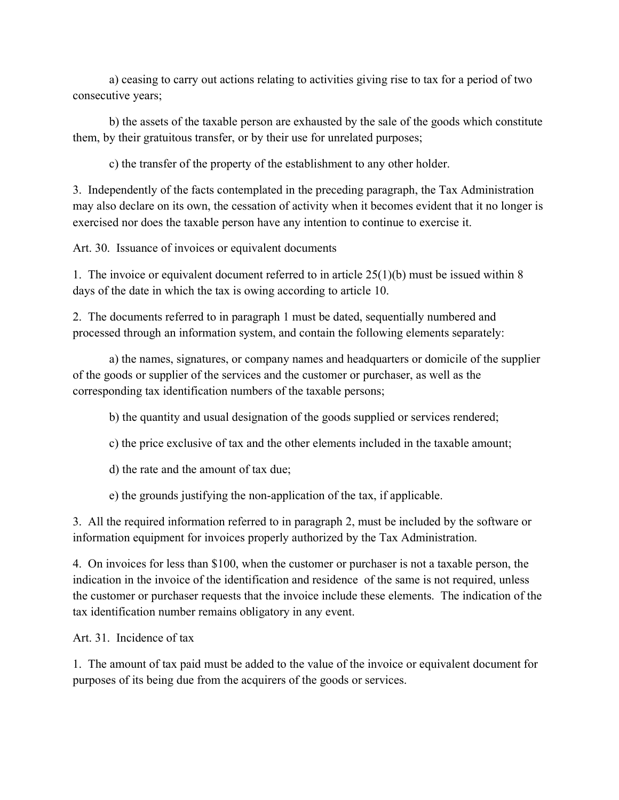a) ceasing to carry out actions relating to activities giving rise to tax for a period of two consecutive years;

 b) the assets of the taxable person are exhausted by the sale of the goods which constitute them, by their gratuitous transfer, or by their use for unrelated purposes;

c) the transfer of the property of the establishment to any other holder.

3. Independently of the facts contemplated in the preceding paragraph, the Tax Administration may also declare on its own, the cessation of activity when it becomes evident that it no longer is exercised nor does the taxable person have any intention to continue to exercise it.

Art. 30. Issuance of invoices or equivalent documents

1. The invoice or equivalent document referred to in article 25(1)(b) must be issued within 8 days of the date in which the tax is owing according to article 10.

2. The documents referred to in paragraph 1 must be dated, sequentially numbered and processed through an information system, and contain the following elements separately:

 a) the names, signatures, or company names and headquarters or domicile of the supplier of the goods or supplier of the services and the customer or purchaser, as well as the corresponding tax identification numbers of the taxable persons;

b) the quantity and usual designation of the goods supplied or services rendered;

c) the price exclusive of tax and the other elements included in the taxable amount;

d) the rate and the amount of tax due;

e) the grounds justifying the non-application of the tax, if applicable.

3. All the required information referred to in paragraph 2, must be included by the software or information equipment for invoices properly authorized by the Tax Administration.

4. On invoices for less than \$100, when the customer or purchaser is not a taxable person, the indication in the invoice of the identification and residence of the same is not required, unless the customer or purchaser requests that the invoice include these elements. The indication of the tax identification number remains obligatory in any event.

Art. 31. Incidence of tax

1. The amount of tax paid must be added to the value of the invoice or equivalent document for purposes of its being due from the acquirers of the goods or services.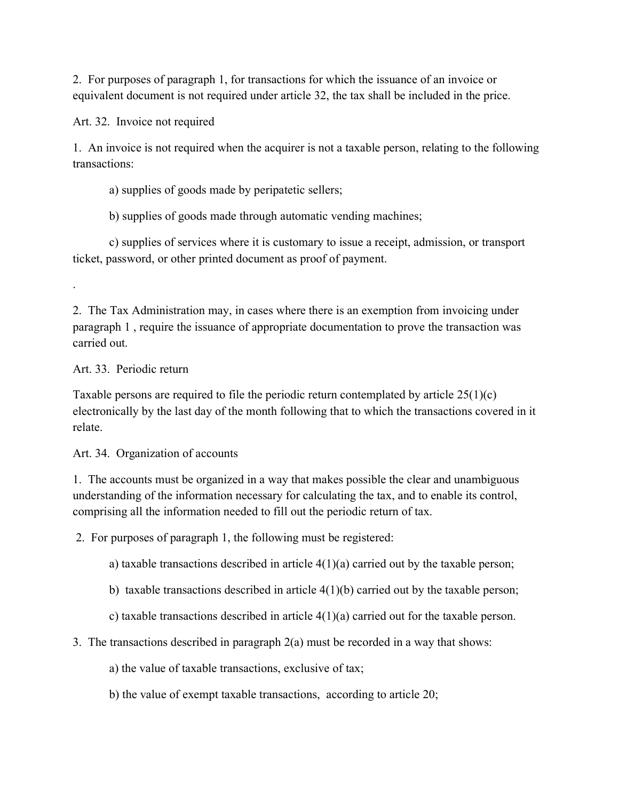2. For purposes of paragraph 1, for transactions for which the issuance of an invoice or equivalent document is not required under article 32, the tax shall be included in the price.

Art. 32. Invoice not required

1. An invoice is not required when the acquirer is not a taxable person, relating to the following transactions:

a) supplies of goods made by peripatetic sellers;

b) supplies of goods made through automatic vending machines;

 c) supplies of services where it is customary to issue a receipt, admission, or transport ticket, password, or other printed document as proof of payment.

.

2. The Tax Administration may, in cases where there is an exemption from invoicing under paragraph 1 , require the issuance of appropriate documentation to prove the transaction was carried out.

Art. 33. Periodic return

Taxable persons are required to file the periodic return contemplated by article  $25(1)(c)$ electronically by the last day of the month following that to which the transactions covered in it relate.

Art. 34. Organization of accounts

1. The accounts must be organized in a way that makes possible the clear and unambiguous understanding of the information necessary for calculating the tax, and to enable its control, comprising all the information needed to fill out the periodic return of tax.

2. For purposes of paragraph 1, the following must be registered:

a) taxable transactions described in article  $4(1)(a)$  carried out by the taxable person;

b) taxable transactions described in article  $4(1)(b)$  carried out by the taxable person;

c) taxable transactions described in article  $4(1)(a)$  carried out for the taxable person.

3. The transactions described in paragraph 2(a) must be recorded in a way that shows:

a) the value of taxable transactions, exclusive of tax;

b) the value of exempt taxable transactions, according to article 20;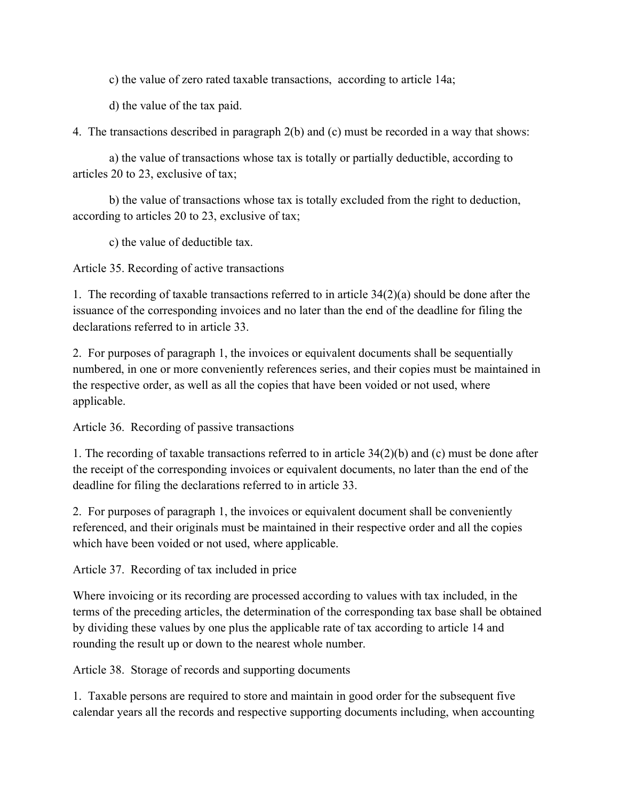c) the value of zero rated taxable transactions, according to article 14a;

d) the value of the tax paid.

4. The transactions described in paragraph 2(b) and (c) must be recorded in a way that shows:

 a) the value of transactions whose tax is totally or partially deductible, according to articles 20 to 23, exclusive of tax;

 b) the value of transactions whose tax is totally excluded from the right to deduction, according to articles 20 to 23, exclusive of tax;

c) the value of deductible tax.

Article 35. Recording of active transactions

1. The recording of taxable transactions referred to in article 34(2)(a) should be done after the issuance of the corresponding invoices and no later than the end of the deadline for filing the declarations referred to in article 33.

2. For purposes of paragraph 1, the invoices or equivalent documents shall be sequentially numbered, in one or more conveniently references series, and their copies must be maintained in the respective order, as well as all the copies that have been voided or not used, where applicable.

Article 36. Recording of passive transactions

1. The recording of taxable transactions referred to in article 34(2)(b) and (c) must be done after the receipt of the corresponding invoices or equivalent documents, no later than the end of the deadline for filing the declarations referred to in article 33.

2. For purposes of paragraph 1, the invoices or equivalent document shall be conveniently referenced, and their originals must be maintained in their respective order and all the copies which have been voided or not used, where applicable.

Article 37. Recording of tax included in price

Where invoicing or its recording are processed according to values with tax included, in the terms of the preceding articles, the determination of the corresponding tax base shall be obtained by dividing these values by one plus the applicable rate of tax according to article 14 and rounding the result up or down to the nearest whole number.

Article 38. Storage of records and supporting documents

1. Taxable persons are required to store and maintain in good order for the subsequent five calendar years all the records and respective supporting documents including, when accounting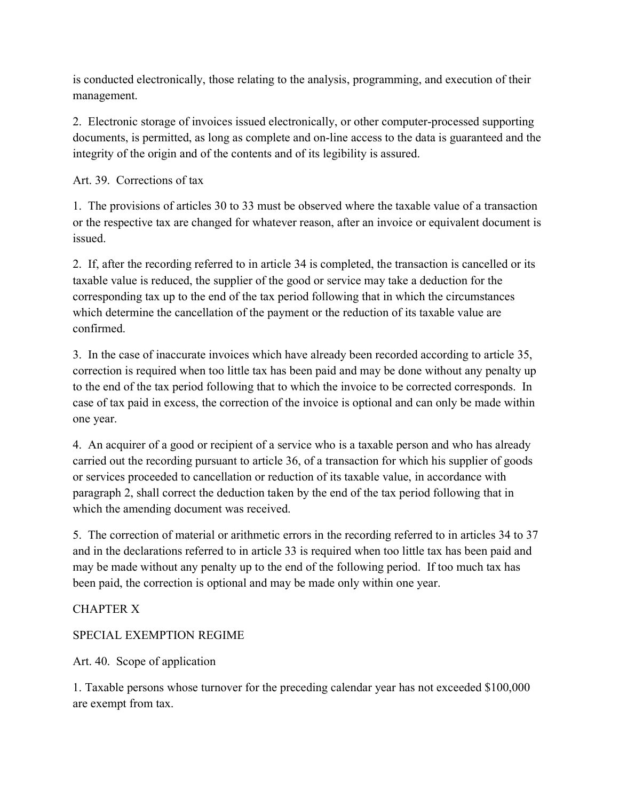is conducted electronically, those relating to the analysis, programming, and execution of their management.

2. Electronic storage of invoices issued electronically, or other computer-processed supporting documents, is permitted, as long as complete and on-line access to the data is guaranteed and the integrity of the origin and of the contents and of its legibility is assured.

Art. 39. Corrections of tax

1. The provisions of articles 30 to 33 must be observed where the taxable value of a transaction or the respective tax are changed for whatever reason, after an invoice or equivalent document is issued.

2. If, after the recording referred to in article 34 is completed, the transaction is cancelled or its taxable value is reduced, the supplier of the good or service may take a deduction for the corresponding tax up to the end of the tax period following that in which the circumstances which determine the cancellation of the payment or the reduction of its taxable value are confirmed.

3. In the case of inaccurate invoices which have already been recorded according to article 35, correction is required when too little tax has been paid and may be done without any penalty up to the end of the tax period following that to which the invoice to be corrected corresponds. In case of tax paid in excess, the correction of the invoice is optional and can only be made within one year.

4. An acquirer of a good or recipient of a service who is a taxable person and who has already carried out the recording pursuant to article 36, of a transaction for which his supplier of goods or services proceeded to cancellation or reduction of its taxable value, in accordance with paragraph 2, shall correct the deduction taken by the end of the tax period following that in which the amending document was received.

5. The correction of material or arithmetic errors in the recording referred to in articles 34 to 37 and in the declarations referred to in article 33 is required when too little tax has been paid and may be made without any penalty up to the end of the following period. If too much tax has been paid, the correction is optional and may be made only within one year.

## CHAPTER X

## SPECIAL EXEMPTION REGIME

Art. 40. Scope of application

1. Taxable persons whose turnover for the preceding calendar year has not exceeded \$100,000 are exempt from tax.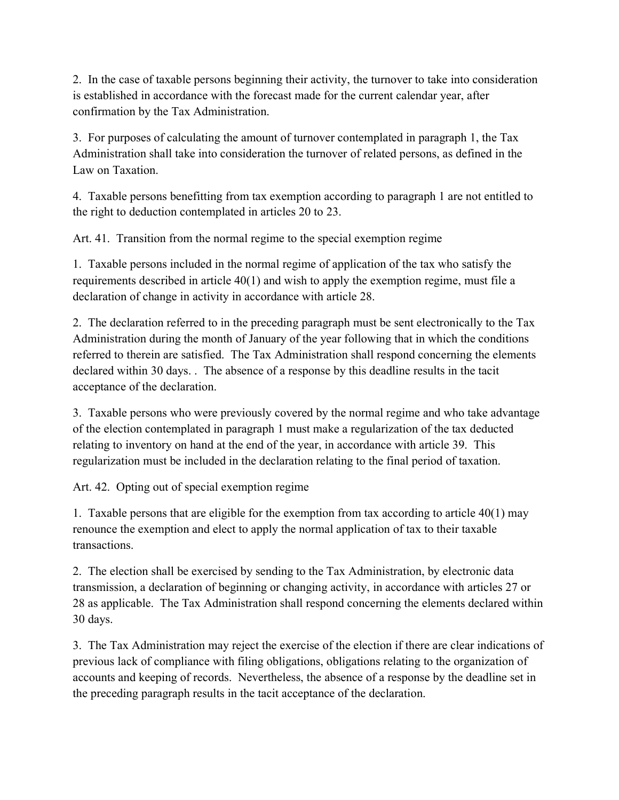2. In the case of taxable persons beginning their activity, the turnover to take into consideration is established in accordance with the forecast made for the current calendar year, after confirmation by the Tax Administration.

3. For purposes of calculating the amount of turnover contemplated in paragraph 1, the Tax Administration shall take into consideration the turnover of related persons, as defined in the Law on Taxation.

4. Taxable persons benefitting from tax exemption according to paragraph 1 are not entitled to the right to deduction contemplated in articles 20 to 23.

Art. 41. Transition from the normal regime to the special exemption regime

1. Taxable persons included in the normal regime of application of the tax who satisfy the requirements described in article 40(1) and wish to apply the exemption regime, must file a declaration of change in activity in accordance with article 28.

2. The declaration referred to in the preceding paragraph must be sent electronically to the Tax Administration during the month of January of the year following that in which the conditions referred to therein are satisfied. The Tax Administration shall respond concerning the elements declared within 30 days. . The absence of a response by this deadline results in the tacit acceptance of the declaration.

3. Taxable persons who were previously covered by the normal regime and who take advantage of the election contemplated in paragraph 1 must make a regularization of the tax deducted relating to inventory on hand at the end of the year, in accordance with article 39. This regularization must be included in the declaration relating to the final period of taxation.

Art. 42. Opting out of special exemption regime

1. Taxable persons that are eligible for the exemption from tax according to article 40(1) may renounce the exemption and elect to apply the normal application of tax to their taxable transactions.

2. The election shall be exercised by sending to the Tax Administration, by electronic data transmission, a declaration of beginning or changing activity, in accordance with articles 27 or 28 as applicable. The Tax Administration shall respond concerning the elements declared within 30 days.

3. The Tax Administration may reject the exercise of the election if there are clear indications of previous lack of compliance with filing obligations, obligations relating to the organization of accounts and keeping of records. Nevertheless, the absence of a response by the deadline set in the preceding paragraph results in the tacit acceptance of the declaration.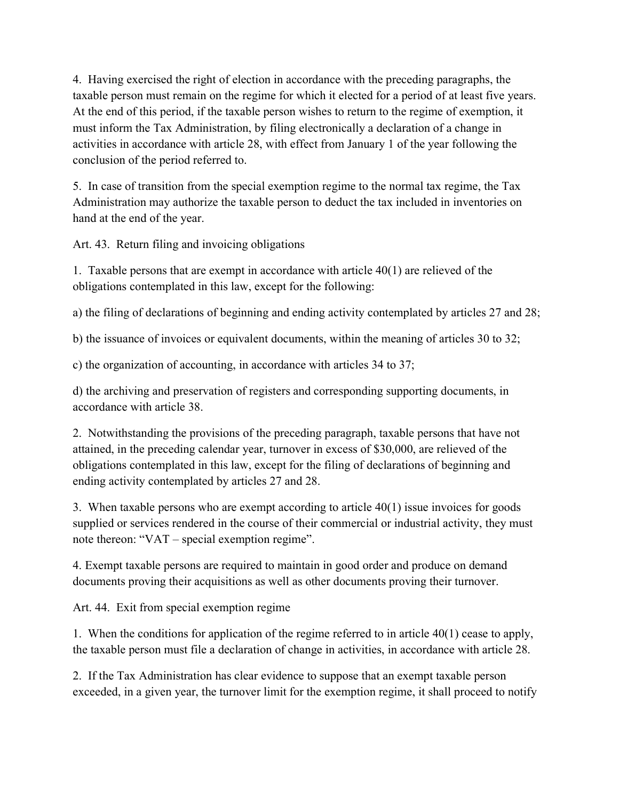4. Having exercised the right of election in accordance with the preceding paragraphs, the taxable person must remain on the regime for which it elected for a period of at least five years. At the end of this period, if the taxable person wishes to return to the regime of exemption, it must inform the Tax Administration, by filing electronically a declaration of a change in activities in accordance with article 28, with effect from January 1 of the year following the conclusion of the period referred to.

5. In case of transition from the special exemption regime to the normal tax regime, the Tax Administration may authorize the taxable person to deduct the tax included in inventories on hand at the end of the year.

Art. 43. Return filing and invoicing obligations

1. Taxable persons that are exempt in accordance with article 40(1) are relieved of the obligations contemplated in this law, except for the following:

a) the filing of declarations of beginning and ending activity contemplated by articles 27 and 28;

b) the issuance of invoices or equivalent documents, within the meaning of articles 30 to 32;

c) the organization of accounting, in accordance with articles 34 to 37;

d) the archiving and preservation of registers and corresponding supporting documents, in accordance with article 38.

2. Notwithstanding the provisions of the preceding paragraph, taxable persons that have not attained, in the preceding calendar year, turnover in excess of \$30,000, are relieved of the obligations contemplated in this law, except for the filing of declarations of beginning and ending activity contemplated by articles 27 and 28.

3. When taxable persons who are exempt according to article 40(1) issue invoices for goods supplied or services rendered in the course of their commercial or industrial activity, they must note thereon: "VAT – special exemption regime".

4. Exempt taxable persons are required to maintain in good order and produce on demand documents proving their acquisitions as well as other documents proving their turnover.

Art. 44. Exit from special exemption regime

1. When the conditions for application of the regime referred to in article 40(1) cease to apply, the taxable person must file a declaration of change in activities, in accordance with article 28.

2. If the Tax Administration has clear evidence to suppose that an exempt taxable person exceeded, in a given year, the turnover limit for the exemption regime, it shall proceed to notify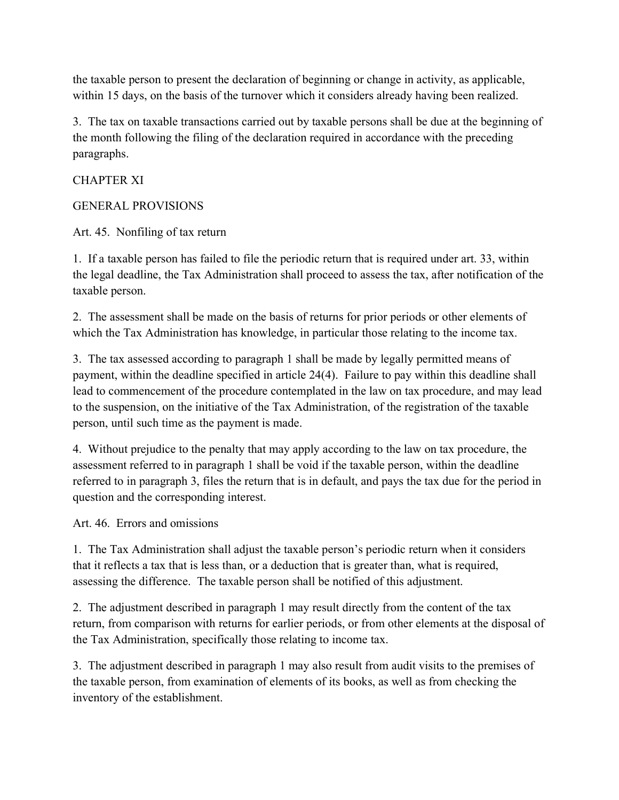the taxable person to present the declaration of beginning or change in activity, as applicable, within 15 days, on the basis of the turnover which it considers already having been realized.

3. The tax on taxable transactions carried out by taxable persons shall be due at the beginning of the month following the filing of the declaration required in accordance with the preceding paragraphs.

## CHAPTER XI

## GENERAL PROVISIONS

Art. 45. Nonfiling of tax return

1. If a taxable person has failed to file the periodic return that is required under art. 33, within the legal deadline, the Tax Administration shall proceed to assess the tax, after notification of the taxable person.

2. The assessment shall be made on the basis of returns for prior periods or other elements of which the Tax Administration has knowledge, in particular those relating to the income tax.

3. The tax assessed according to paragraph 1 shall be made by legally permitted means of payment, within the deadline specified in article 24(4). Failure to pay within this deadline shall lead to commencement of the procedure contemplated in the law on tax procedure, and may lead to the suspension, on the initiative of the Tax Administration, of the registration of the taxable person, until such time as the payment is made.

4. Without prejudice to the penalty that may apply according to the law on tax procedure, the assessment referred to in paragraph 1 shall be void if the taxable person, within the deadline referred to in paragraph 3, files the return that is in default, and pays the tax due for the period in question and the corresponding interest.

Art. 46. Errors and omissions

1. The Tax Administration shall adjust the taxable person's periodic return when it considers that it reflects a tax that is less than, or a deduction that is greater than, what is required, assessing the difference. The taxable person shall be notified of this adjustment.

2. The adjustment described in paragraph 1 may result directly from the content of the tax return, from comparison with returns for earlier periods, or from other elements at the disposal of the Tax Administration, specifically those relating to income tax.

3. The adjustment described in paragraph 1 may also result from audit visits to the premises of the taxable person, from examination of elements of its books, as well as from checking the inventory of the establishment.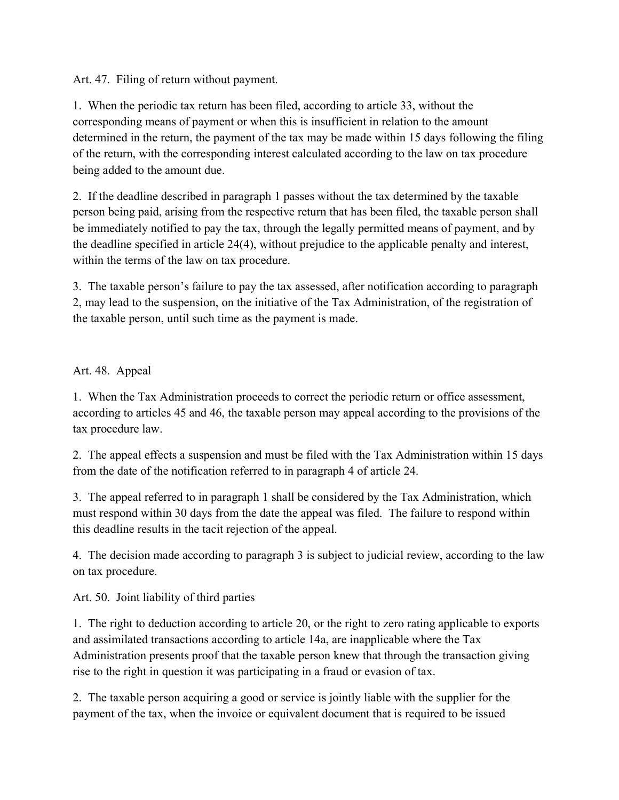Art. 47. Filing of return without payment.

1. When the periodic tax return has been filed, according to article 33, without the corresponding means of payment or when this is insufficient in relation to the amount determined in the return, the payment of the tax may be made within 15 days following the filing of the return, with the corresponding interest calculated according to the law on tax procedure being added to the amount due.

2. If the deadline described in paragraph 1 passes without the tax determined by the taxable person being paid, arising from the respective return that has been filed, the taxable person shall be immediately notified to pay the tax, through the legally permitted means of payment, and by the deadline specified in article 24(4), without prejudice to the applicable penalty and interest, within the terms of the law on tax procedure.

3. The taxable person's failure to pay the tax assessed, after notification according to paragraph 2, may lead to the suspension, on the initiative of the Tax Administration, of the registration of the taxable person, until such time as the payment is made.

Art. 48. Appeal

1. When the Tax Administration proceeds to correct the periodic return or office assessment, according to articles 45 and 46, the taxable person may appeal according to the provisions of the tax procedure law.

2. The appeal effects a suspension and must be filed with the Tax Administration within 15 days from the date of the notification referred to in paragraph 4 of article 24.

3. The appeal referred to in paragraph 1 shall be considered by the Tax Administration, which must respond within 30 days from the date the appeal was filed. The failure to respond within this deadline results in the tacit rejection of the appeal.

4. The decision made according to paragraph 3 is subject to judicial review, according to the law on tax procedure.

Art. 50. Joint liability of third parties

1. The right to deduction according to article 20, or the right to zero rating applicable to exports and assimilated transactions according to article 14a, are inapplicable where the Tax Administration presents proof that the taxable person knew that through the transaction giving rise to the right in question it was participating in a fraud or evasion of tax.

2. The taxable person acquiring a good or service is jointly liable with the supplier for the payment of the tax, when the invoice or equivalent document that is required to be issued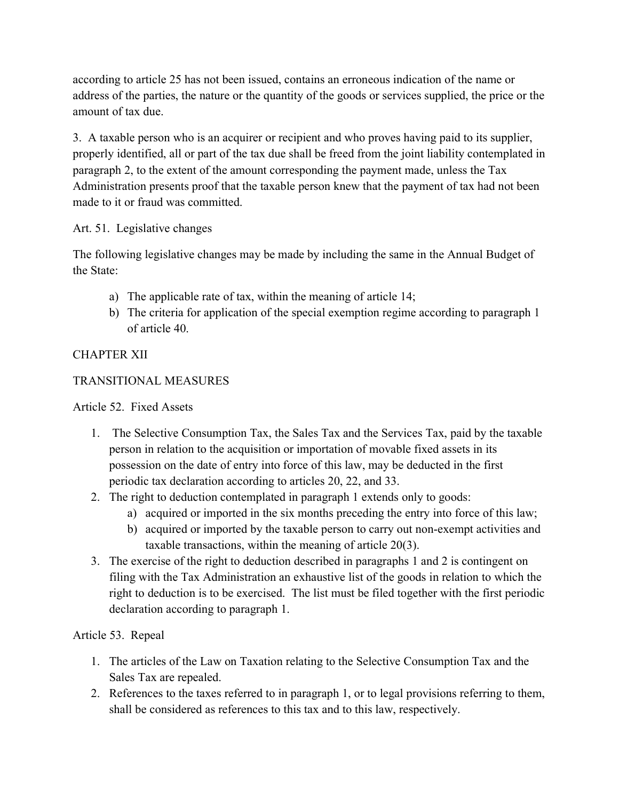according to article 25 has not been issued, contains an erroneous indication of the name or address of the parties, the nature or the quantity of the goods or services supplied, the price or the amount of tax due.

3. A taxable person who is an acquirer or recipient and who proves having paid to its supplier, properly identified, all or part of the tax due shall be freed from the joint liability contemplated in paragraph 2, to the extent of the amount corresponding the payment made, unless the Tax Administration presents proof that the taxable person knew that the payment of tax had not been made to it or fraud was committed.

## Art. 51. Legislative changes

The following legislative changes may be made by including the same in the Annual Budget of the State:

- a) The applicable rate of tax, within the meaning of article 14;
- b) The criteria for application of the special exemption regime according to paragraph 1 of article 40.

## CHAPTER XII

## TRANSITIONAL MEASURES

Article 52. Fixed Assets

- 1. The Selective Consumption Tax, the Sales Tax and the Services Tax, paid by the taxable person in relation to the acquisition or importation of movable fixed assets in its possession on the date of entry into force of this law, may be deducted in the first periodic tax declaration according to articles 20, 22, and 33.
- 2. The right to deduction contemplated in paragraph 1 extends only to goods:
	- a) acquired or imported in the six months preceding the entry into force of this law;
	- b) acquired or imported by the taxable person to carry out non-exempt activities and taxable transactions, within the meaning of article 20(3).
- 3. The exercise of the right to deduction described in paragraphs 1 and 2 is contingent on filing with the Tax Administration an exhaustive list of the goods in relation to which the right to deduction is to be exercised. The list must be filed together with the first periodic declaration according to paragraph 1.

# Article 53. Repeal

- 1. The articles of the Law on Taxation relating to the Selective Consumption Tax and the Sales Tax are repealed.
- 2. References to the taxes referred to in paragraph 1, or to legal provisions referring to them, shall be considered as references to this tax and to this law, respectively.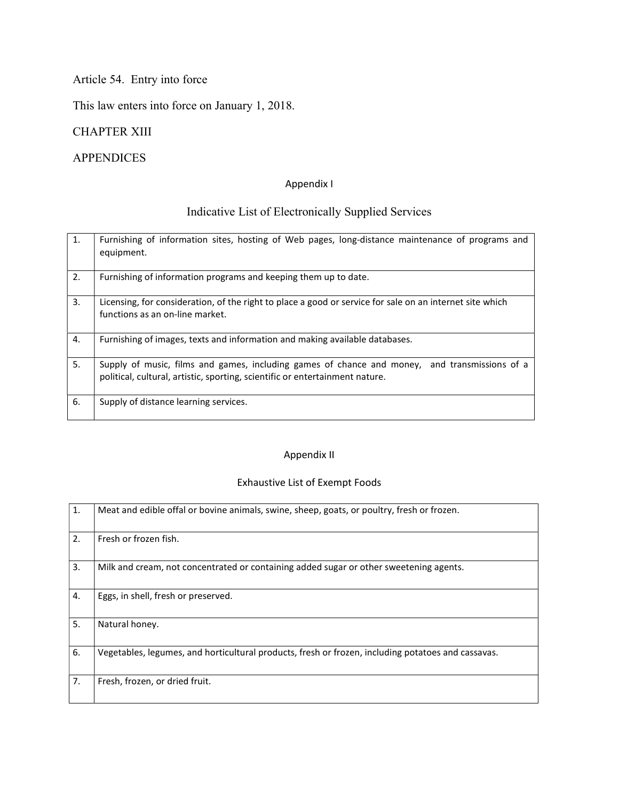# Article 54. Entry into force

This law enters into force on January 1, 2018.

## CHAPTER XIII

# APPENDICES

#### Appendix I

# Indicative List of Electronically Supplied Services

| $\mathbf{1}$ . | Furnishing of information sites, hosting of Web pages, long-distance maintenance of programs and<br>equipment.                                                                |
|----------------|-------------------------------------------------------------------------------------------------------------------------------------------------------------------------------|
| 2.             | Furnishing of information programs and keeping them up to date.                                                                                                               |
| 3.             | Licensing, for consideration, of the right to place a good or service for sale on an internet site which<br>functions as an on-line market.                                   |
| 4.             | Furnishing of images, texts and information and making available databases.                                                                                                   |
| 5.             | Supply of music, films and games, including games of chance and money, and transmissions of a<br>political, cultural, artistic, sporting, scientific or entertainment nature. |
| 6.             | Supply of distance learning services.                                                                                                                                         |

#### Appendix II

## Exhaustive List of Exempt Foods

| 1. | Meat and edible offal or bovine animals, swine, sheep, goats, or poultry, fresh or frozen.         |
|----|----------------------------------------------------------------------------------------------------|
| 2. | Fresh or frozen fish.                                                                              |
| 3. | Milk and cream, not concentrated or containing added sugar or other sweetening agents.             |
| 4. | Eggs, in shell, fresh or preserved.                                                                |
| 5. | Natural honey.                                                                                     |
| 6. | Vegetables, legumes, and horticultural products, fresh or frozen, including potatoes and cassavas. |
| 7. | Fresh, frozen, or dried fruit.                                                                     |